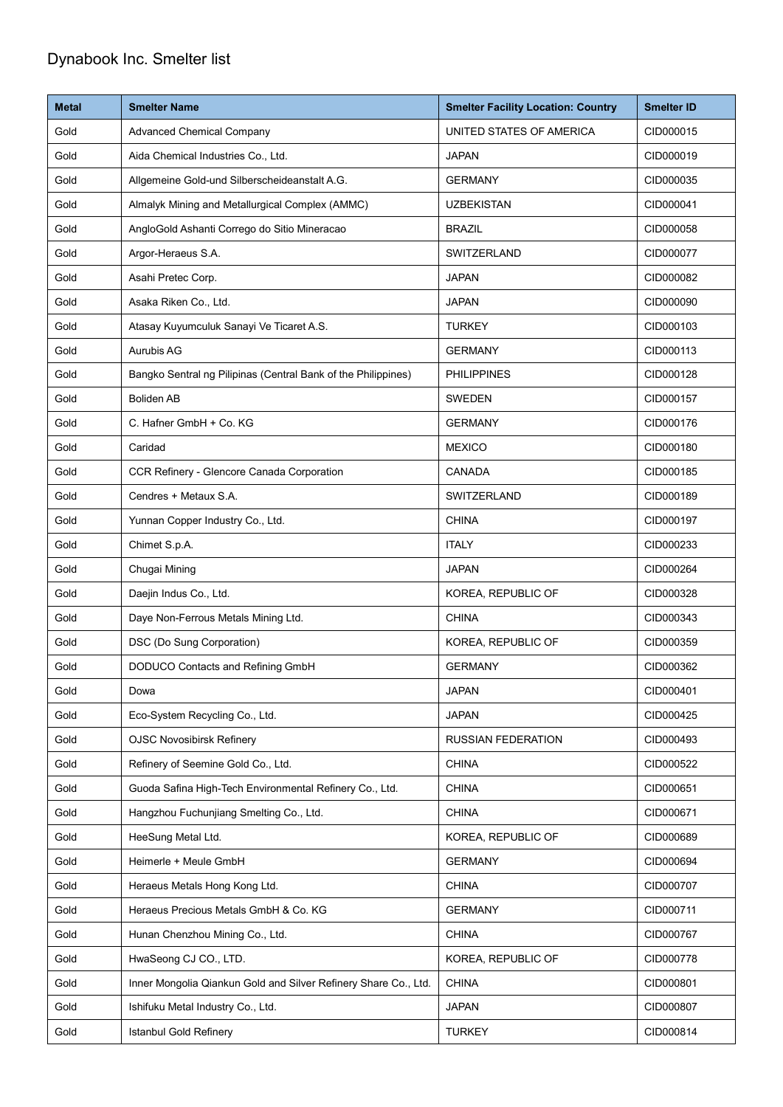## Dynabook Inc. Smelter list

| <b>Metal</b> | <b>Smelter Name</b>                                             | <b>Smelter Facility Location: Country</b> | <b>Smelter ID</b> |
|--------------|-----------------------------------------------------------------|-------------------------------------------|-------------------|
| Gold         | <b>Advanced Chemical Company</b>                                | UNITED STATES OF AMERICA                  | CID000015         |
| Gold         | Aida Chemical Industries Co., Ltd.                              | <b>JAPAN</b>                              | CID000019         |
| Gold         | Allgemeine Gold-und Silberscheideanstalt A.G.                   | <b>GERMANY</b>                            | CID000035         |
| Gold         | Almalyk Mining and Metallurgical Complex (AMMC)                 | <b>UZBEKISTAN</b>                         | CID000041         |
| Gold         | AngloGold Ashanti Corrego do Sitio Mineracao                    | <b>BRAZIL</b>                             | CID000058         |
| Gold         | Argor-Heraeus S.A.                                              | SWITZERLAND                               | CID000077         |
| Gold         | Asahi Pretec Corp.                                              | <b>JAPAN</b>                              | CID000082         |
| Gold         | Asaka Riken Co., Ltd.                                           | <b>JAPAN</b>                              | CID000090         |
| Gold         | Atasay Kuyumculuk Sanayi Ve Ticaret A.S.                        | <b>TURKEY</b>                             | CID000103         |
| Gold         | <b>Aurubis AG</b>                                               | <b>GERMANY</b>                            | CID000113         |
| Gold         | Bangko Sentral ng Pilipinas (Central Bank of the Philippines)   | <b>PHILIPPINES</b>                        | CID000128         |
| Gold         | <b>Boliden AB</b>                                               | <b>SWEDEN</b>                             | CID000157         |
| Gold         | C. Hafner GmbH + Co. KG                                         | <b>GERMANY</b>                            | CID000176         |
| Gold         | Caridad                                                         | <b>MEXICO</b>                             | CID000180         |
| Gold         | CCR Refinery - Glencore Canada Corporation                      | <b>CANADA</b>                             | CID000185         |
| Gold         | Cendres + Metaux S.A.                                           | SWITZERLAND                               | CID000189         |
| Gold         | Yunnan Copper Industry Co., Ltd.                                | <b>CHINA</b>                              | CID000197         |
| Gold         | Chimet S.p.A.                                                   | <b>ITALY</b>                              | CID000233         |
| Gold         | Chugai Mining                                                   | <b>JAPAN</b>                              | CID000264         |
| Gold         | Daejin Indus Co., Ltd.                                          | KOREA, REPUBLIC OF                        | CID000328         |
| Gold         | Daye Non-Ferrous Metals Mining Ltd.                             | <b>CHINA</b>                              | CID000343         |
| Gold         | DSC (Do Sung Corporation)                                       | KOREA, REPUBLIC OF                        | CID000359         |
| Gold         | DODUCO Contacts and Refining GmbH                               | <b>GERMANY</b>                            | CID000362         |
| Gold         | Dowa                                                            | <b>JAPAN</b>                              | CID000401         |
| Gold         | Eco-System Recycling Co., Ltd.                                  | <b>JAPAN</b>                              | CID000425         |
| Gold         | <b>OJSC Novosibirsk Refinery</b>                                | <b>RUSSIAN FEDERATION</b>                 | CID000493         |
| Gold         | Refinery of Seemine Gold Co., Ltd.                              | <b>CHINA</b>                              | CID000522         |
| Gold         | Guoda Safina High-Tech Environmental Refinery Co., Ltd.         | <b>CHINA</b>                              | CID000651         |
| Gold         | Hangzhou Fuchunjiang Smelting Co., Ltd.                         | <b>CHINA</b>                              | CID000671         |
| Gold         | HeeSung Metal Ltd.                                              | KOREA, REPUBLIC OF                        | CID000689         |
| Gold         | Heimerle + Meule GmbH                                           | <b>GERMANY</b>                            | CID000694         |
| Gold         | Heraeus Metals Hong Kong Ltd.                                   | <b>CHINA</b>                              | CID000707         |
| Gold         | Heraeus Precious Metals GmbH & Co. KG                           | <b>GERMANY</b>                            | CID000711         |
| Gold         | Hunan Chenzhou Mining Co., Ltd.                                 | <b>CHINA</b>                              | CID000767         |
| Gold         | HwaSeong CJ CO., LTD.                                           | KOREA, REPUBLIC OF                        | CID000778         |
| Gold         | Inner Mongolia Qiankun Gold and Silver Refinery Share Co., Ltd. | <b>CHINA</b>                              | CID000801         |
| Gold         | Ishifuku Metal Industry Co., Ltd.                               | <b>JAPAN</b>                              | CID000807         |
| Gold         | Istanbul Gold Refinery                                          | <b>TURKEY</b>                             | CID000814         |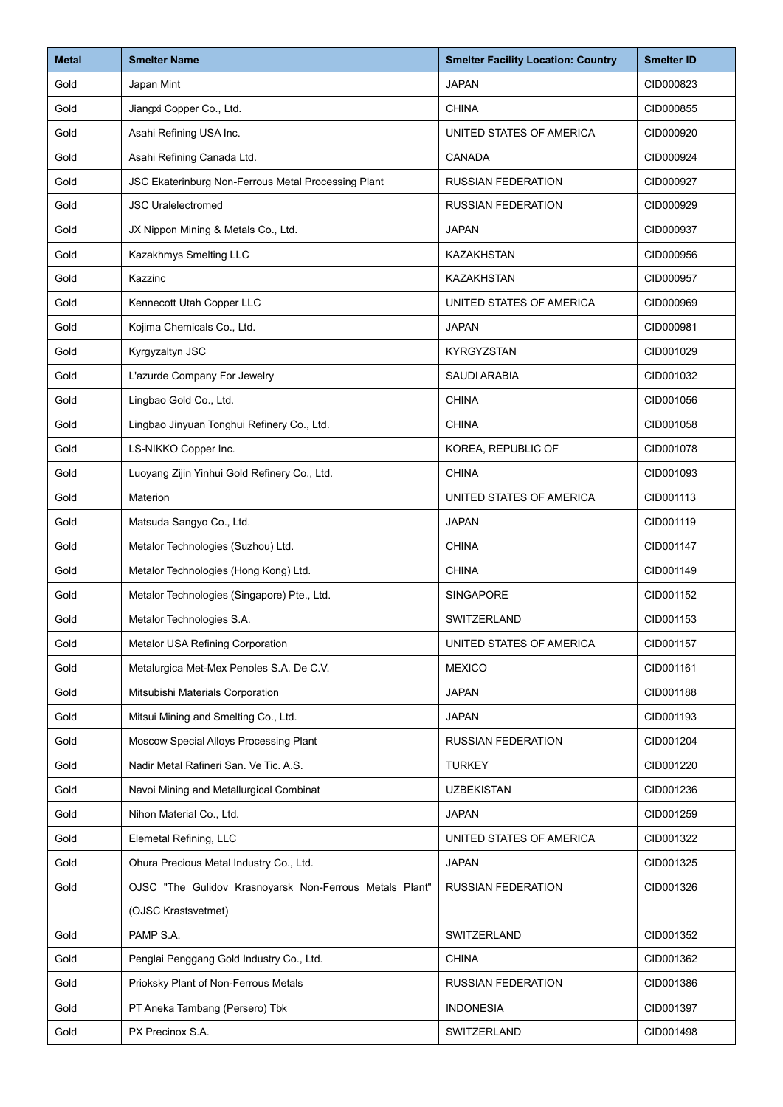| <b>Metal</b> | <b>Smelter Name</b>                                     | <b>Smelter Facility Location: Country</b> | <b>Smelter ID</b> |
|--------------|---------------------------------------------------------|-------------------------------------------|-------------------|
| Gold         | Japan Mint                                              | <b>JAPAN</b>                              | CID000823         |
| Gold         | Jiangxi Copper Co., Ltd.                                | <b>CHINA</b>                              | CID000855         |
| Gold         | Asahi Refining USA Inc.                                 | UNITED STATES OF AMERICA                  | CID000920         |
| Gold         | Asahi Refining Canada Ltd.                              | <b>CANADA</b>                             | CID000924         |
| Gold         | JSC Ekaterinburg Non-Ferrous Metal Processing Plant     | <b>RUSSIAN FEDERATION</b>                 | CID000927         |
| Gold         | <b>JSC Uralelectromed</b>                               | <b>RUSSIAN FEDERATION</b>                 | CID000929         |
| Gold         | JX Nippon Mining & Metals Co., Ltd.                     | <b>JAPAN</b>                              | CID000937         |
| Gold         | Kazakhmys Smelting LLC                                  | <b>KAZAKHSTAN</b>                         | CID000956         |
| Gold         | Kazzinc                                                 | KAZAKHSTAN                                | CID000957         |
| Gold         | Kennecott Utah Copper LLC                               | UNITED STATES OF AMERICA                  | CID000969         |
| Gold         | Kojima Chemicals Co., Ltd.                              | <b>JAPAN</b>                              | CID000981         |
| Gold         | Kyrgyzaltyn JSC                                         | <b>KYRGYZSTAN</b>                         | CID001029         |
| Gold         | L'azurde Company For Jewelry                            | <b>SAUDI ARABIA</b>                       | CID001032         |
| Gold         | Lingbao Gold Co., Ltd.                                  | <b>CHINA</b>                              | CID001056         |
| Gold         | Lingbao Jinyuan Tonghui Refinery Co., Ltd.              | <b>CHINA</b>                              | CID001058         |
| Gold         | LS-NIKKO Copper Inc.                                    | KOREA, REPUBLIC OF                        | CID001078         |
| Gold         | Luoyang Zijin Yinhui Gold Refinery Co., Ltd.            | <b>CHINA</b>                              | CID001093         |
| Gold         | Materion                                                | UNITED STATES OF AMERICA                  | CID001113         |
| Gold         | Matsuda Sangyo Co., Ltd.                                | <b>JAPAN</b>                              | CID001119         |
| Gold         | Metalor Technologies (Suzhou) Ltd.                      | <b>CHINA</b>                              | CID001147         |
| Gold         | Metalor Technologies (Hong Kong) Ltd.                   | <b>CHINA</b>                              | CID001149         |
| Gold         | Metalor Technologies (Singapore) Pte., Ltd.             | SINGAPORE                                 | CID001152         |
| Gold         | Metalor Technologies S.A.                               | SWITZERLAND                               | CID001153         |
| Gold         | Metalor USA Refining Corporation                        | UNITED STATES OF AMERICA                  | CID001157         |
| Gold         | Metalurgica Met-Mex Penoles S.A. De C.V.                | <b>MEXICO</b>                             | CID001161         |
| Gold         | Mitsubishi Materials Corporation                        | <b>JAPAN</b>                              | CID001188         |
| Gold         | Mitsui Mining and Smelting Co., Ltd.                    | <b>JAPAN</b>                              | CID001193         |
| Gold         | Moscow Special Alloys Processing Plant                  | <b>RUSSIAN FEDERATION</b>                 | CID001204         |
| Gold         | Nadir Metal Rafineri San. Ve Tic. A.S.                  | <b>TURKEY</b>                             | CID001220         |
| Gold         | Navoi Mining and Metallurgical Combinat                 | <b>UZBEKISTAN</b>                         | CID001236         |
| Gold         | Nihon Material Co., Ltd.                                | <b>JAPAN</b>                              | CID001259         |
| Gold         | Elemetal Refining, LLC                                  | UNITED STATES OF AMERICA                  | CID001322         |
| Gold         | Ohura Precious Metal Industry Co., Ltd.                 | <b>JAPAN</b>                              | CID001325         |
| Gold         | OJSC "The Gulidov Krasnoyarsk Non-Ferrous Metals Plant" | <b>RUSSIAN FEDERATION</b>                 | CID001326         |
|              | (OJSC Krastsvetmet)                                     |                                           |                   |
| Gold         | PAMP S.A.                                               | SWITZERLAND                               | CID001352         |
| Gold         | Penglai Penggang Gold Industry Co., Ltd.                | <b>CHINA</b>                              | CID001362         |
| Gold         | Prioksky Plant of Non-Ferrous Metals                    | <b>RUSSIAN FEDERATION</b>                 | CID001386         |
| Gold         | PT Aneka Tambang (Persero) Tbk                          | <b>INDONESIA</b>                          | CID001397         |
| Gold         | PX Precinox S.A.                                        | SWITZERLAND                               | CID001498         |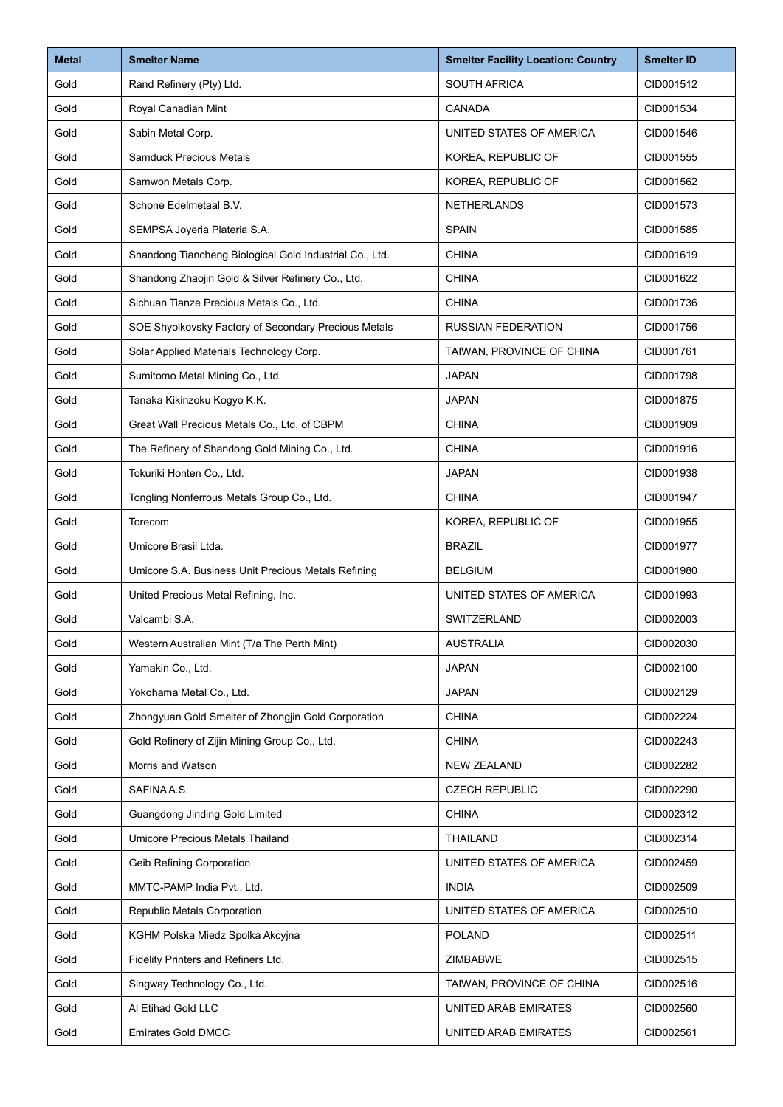| <b>Metal</b> | <b>Smelter Name</b>                                     | <b>Smelter Facility Location: Country</b> | <b>Smelter ID</b> |
|--------------|---------------------------------------------------------|-------------------------------------------|-------------------|
| Gold         | Rand Refinery (Pty) Ltd.                                | <b>SOUTH AFRICA</b>                       | CID001512         |
| Gold         | Royal Canadian Mint                                     | CANADA                                    | CID001534         |
| Gold         | Sabin Metal Corp.                                       | UNITED STATES OF AMERICA                  | CID001546         |
| Gold         | <b>Samduck Precious Metals</b>                          | KOREA, REPUBLIC OF                        | CID001555         |
| Gold         | Samwon Metals Corp.                                     | KOREA, REPUBLIC OF                        | CID001562         |
| Gold         | Schone Edelmetaal B.V.                                  | <b>NETHERLANDS</b>                        | CID001573         |
| Gold         | SEMPSA Joyeria Plateria S.A.                            | <b>SPAIN</b>                              | CID001585         |
| Gold         | Shandong Tiancheng Biological Gold Industrial Co., Ltd. | <b>CHINA</b>                              | CID001619         |
| Gold         | Shandong Zhaojin Gold & Silver Refinery Co., Ltd.       | <b>CHINA</b>                              | CID001622         |
| Gold         | Sichuan Tianze Precious Metals Co., Ltd.                | <b>CHINA</b>                              | CID001736         |
| Gold         | SOE Shyolkovsky Factory of Secondary Precious Metals    | <b>RUSSIAN FEDERATION</b>                 | CID001756         |
| Gold         | Solar Applied Materials Technology Corp.                | TAIWAN, PROVINCE OF CHINA                 | CID001761         |
| Gold         | Sumitomo Metal Mining Co., Ltd.                         | <b>JAPAN</b>                              | CID001798         |
| Gold         | Tanaka Kikinzoku Kogyo K.K.                             | <b>JAPAN</b>                              | CID001875         |
| Gold         | Great Wall Precious Metals Co., Ltd. of CBPM            | <b>CHINA</b>                              | CID001909         |
| Gold         | The Refinery of Shandong Gold Mining Co., Ltd.          | <b>CHINA</b>                              | CID001916         |
| Gold         | Tokuriki Honten Co., Ltd.                               | <b>JAPAN</b>                              | CID001938         |
| Gold         | Tongling Nonferrous Metals Group Co., Ltd.              | <b>CHINA</b>                              | CID001947         |
| Gold         | Torecom                                                 | KOREA, REPUBLIC OF                        | CID001955         |
| Gold         | Umicore Brasil Ltda.                                    | <b>BRAZIL</b>                             | CID001977         |
| Gold         | Umicore S.A. Business Unit Precious Metals Refining     | <b>BELGIUM</b>                            | CID001980         |
| Gold         | United Precious Metal Refining, Inc.                    | UNITED STATES OF AMERICA                  | CID001993         |
| Gold         | Valcambi S.A.                                           | SWITZERLAND                               | CID002003         |
| Gold         | Western Australian Mint (T/a The Perth Mint)            | <b>AUSTRALIA</b>                          | CID002030         |
| Gold         | Yamakin Co., Ltd.                                       | <b>JAPAN</b>                              | CID002100         |
| Gold         | Yokohama Metal Co., Ltd.                                | <b>JAPAN</b>                              | CID002129         |
| Gold         | Zhongyuan Gold Smelter of Zhongjin Gold Corporation     | <b>CHINA</b>                              | CID002224         |
| Gold         | Gold Refinery of Zijin Mining Group Co., Ltd.           | <b>CHINA</b>                              | CID002243         |
| Gold         | Morris and Watson                                       | <b>NEW ZEALAND</b>                        | CID002282         |
| Gold         | SAFINA A.S.                                             | <b>CZECH REPUBLIC</b>                     | CID002290         |
| Gold         | Guangdong Jinding Gold Limited                          | <b>CHINA</b>                              | CID002312         |
| Gold         | Umicore Precious Metals Thailand                        | THAILAND                                  | CID002314         |
| Gold         | Geib Refining Corporation                               | UNITED STATES OF AMERICA                  | CID002459         |
| Gold         | MMTC-PAMP India Pvt., Ltd.                              | <b>INDIA</b>                              | CID002509         |
| Gold         | Republic Metals Corporation                             | UNITED STATES OF AMERICA                  | CID002510         |
| Gold         | KGHM Polska Miedz Spolka Akcyjna                        | <b>POLAND</b>                             | CID002511         |
| Gold         | Fidelity Printers and Refiners Ltd.                     | ZIMBABWE                                  | CID002515         |
| Gold         | Singway Technology Co., Ltd.                            | TAIWAN, PROVINCE OF CHINA                 | CID002516         |
| Gold         | Al Etihad Gold LLC                                      | UNITED ARAB EMIRATES                      | CID002560         |
| Gold         | <b>Emirates Gold DMCC</b>                               | UNITED ARAB EMIRATES                      | CID002561         |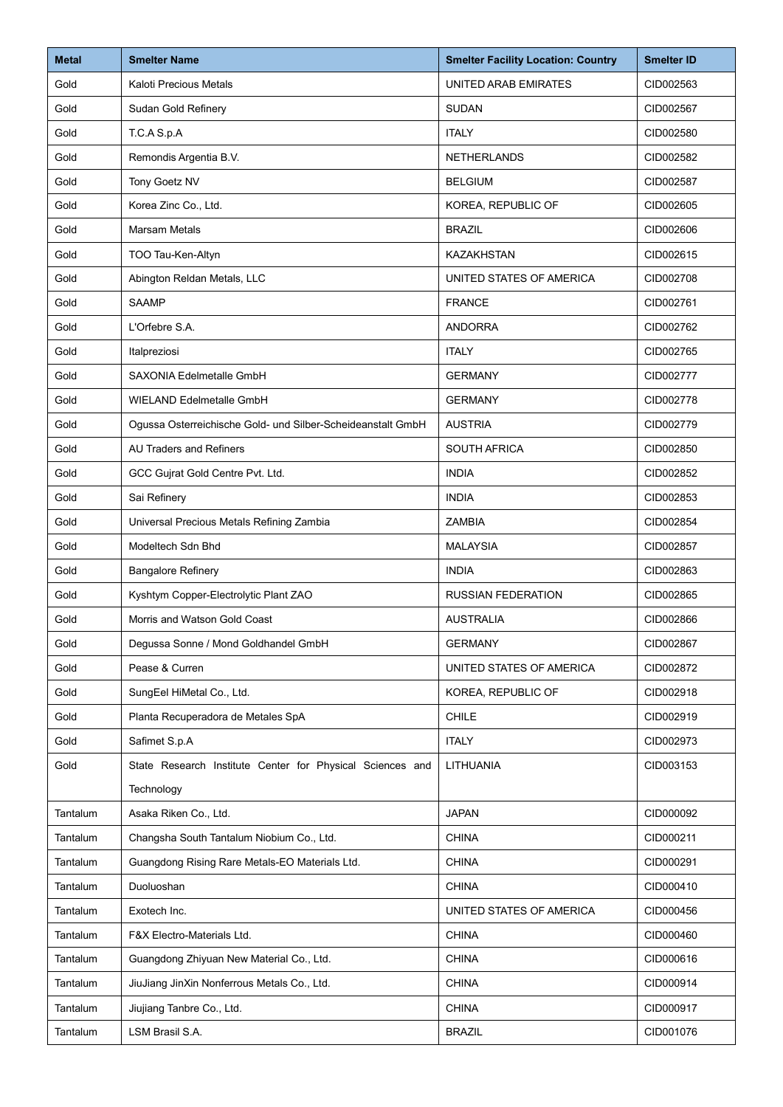| <b>Metal</b> | <b>Smelter Name</b>                                         | <b>Smelter Facility Location: Country</b> | <b>Smelter ID</b> |
|--------------|-------------------------------------------------------------|-------------------------------------------|-------------------|
| Gold         | <b>Kaloti Precious Metals</b>                               | UNITED ARAB EMIRATES                      | CID002563         |
| Gold         | Sudan Gold Refinery                                         | <b>SUDAN</b>                              | CID002567         |
| Gold         | T.C.A S.p.A                                                 | <b>ITALY</b>                              | CID002580         |
| Gold         | Remondis Argentia B.V.                                      | <b>NETHERLANDS</b>                        | CID002582         |
| Gold         | Tony Goetz NV                                               | <b>BELGIUM</b>                            | CID002587         |
| Gold         | Korea Zinc Co., Ltd.                                        | KOREA, REPUBLIC OF                        | CID002605         |
| Gold         | <b>Marsam Metals</b>                                        | <b>BRAZIL</b>                             | CID002606         |
| Gold         | TOO Tau-Ken-Altyn                                           | <b>KAZAKHSTAN</b>                         | CID002615         |
| Gold         | Abington Reldan Metals, LLC                                 | UNITED STATES OF AMERICA                  | CID002708         |
| Gold         | <b>SAAMP</b>                                                | <b>FRANCE</b>                             | CID002761         |
| Gold         | L'Orfebre S.A.                                              | <b>ANDORRA</b>                            | CID002762         |
| Gold         | Italpreziosi                                                | <b>ITALY</b>                              | CID002765         |
| Gold         | SAXONIA Edelmetalle GmbH                                    | <b>GERMANY</b>                            | CID002777         |
| Gold         | <b>WIELAND Edelmetalle GmbH</b>                             | <b>GERMANY</b>                            | CID002778         |
| Gold         | Ogussa Osterreichische Gold- und Silber-Scheideanstalt GmbH | <b>AUSTRIA</b>                            | CID002779         |
| Gold         | <b>AU Traders and Refiners</b>                              | <b>SOUTH AFRICA</b>                       | CID002850         |
| Gold         | GCC Gujrat Gold Centre Pvt. Ltd.                            | <b>INDIA</b>                              | CID002852         |
| Gold         | Sai Refinery                                                | <b>INDIA</b>                              | CID002853         |
| Gold         | Universal Precious Metals Refining Zambia                   | <b>ZAMBIA</b>                             | CID002854         |
| Gold         | Modeltech Sdn Bhd                                           | <b>MALAYSIA</b>                           | CID002857         |
| Gold         | <b>Bangalore Refinery</b>                                   | <b>INDIA</b>                              | CID002863         |
| Gold         | Kyshtym Copper-Electrolytic Plant ZAO                       | <b>RUSSIAN FEDERATION</b>                 | CID002865         |
| Gold         | Morris and Watson Gold Coast                                | <b>AUSTRALIA</b>                          | CID002866         |
| Gold         | Degussa Sonne / Mond Goldhandel GmbH                        | <b>GERMANY</b>                            | CID002867         |
| Gold         | Pease & Curren                                              | UNITED STATES OF AMERICA                  | CID002872         |
| Gold         | SungEel HiMetal Co., Ltd.                                   | KOREA, REPUBLIC OF                        | CID002918         |
| Gold         | Planta Recuperadora de Metales SpA                          | <b>CHILE</b>                              | CID002919         |
| Gold         | Safimet S.p.A                                               | <b>ITALY</b>                              | CID002973         |
| Gold         | State Research Institute Center for Physical Sciences and   | LITHUANIA                                 | CID003153         |
|              | Technology                                                  |                                           |                   |
| Tantalum     | Asaka Riken Co., Ltd.                                       | <b>JAPAN</b>                              | CID000092         |
| Tantalum     | Changsha South Tantalum Niobium Co., Ltd.                   | <b>CHINA</b>                              | CID000211         |
| Tantalum     | Guangdong Rising Rare Metals-EO Materials Ltd.              | <b>CHINA</b>                              | CID000291         |
| Tantalum     | Duoluoshan                                                  | <b>CHINA</b>                              | CID000410         |
| Tantalum     | Exotech Inc.                                                | UNITED STATES OF AMERICA                  | CID000456         |
| Tantalum     | F&X Electro-Materials Ltd.                                  | <b>CHINA</b>                              | CID000460         |
| Tantalum     | Guangdong Zhiyuan New Material Co., Ltd.                    | CHINA                                     | CID000616         |
| Tantalum     | JiuJiang JinXin Nonferrous Metals Co., Ltd.                 | <b>CHINA</b>                              | CID000914         |
| Tantalum     | Jiujiang Tanbre Co., Ltd.                                   | <b>CHINA</b>                              | CID000917         |
| Tantalum     | LSM Brasil S.A.                                             | <b>BRAZIL</b>                             | CID001076         |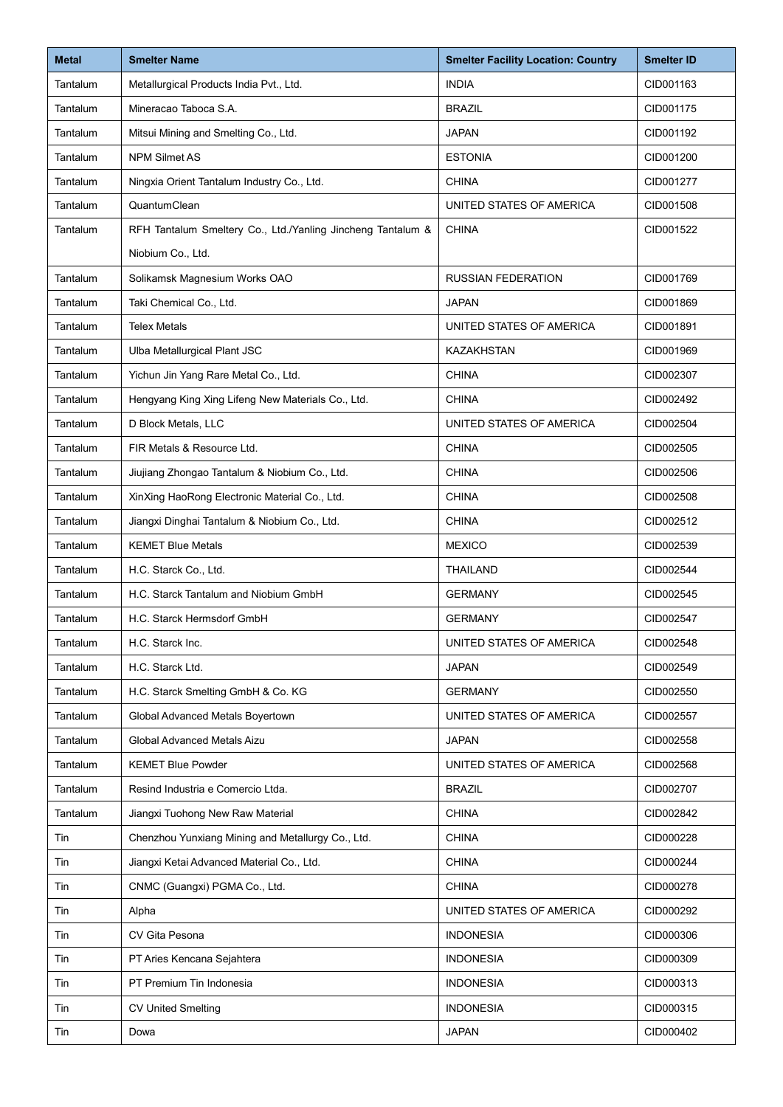| <b>Metal</b>    | <b>Smelter Name</b>                                         | <b>Smelter Facility Location: Country</b> | <b>Smelter ID</b> |
|-----------------|-------------------------------------------------------------|-------------------------------------------|-------------------|
| <b>Tantalum</b> | Metallurgical Products India Pvt., Ltd.                     | <b>INDIA</b>                              | CID001163         |
| Tantalum        | Mineracao Taboca S.A.                                       | <b>BRAZIL</b>                             | CID001175         |
| Tantalum        | Mitsui Mining and Smelting Co., Ltd.                        | <b>JAPAN</b>                              | CID001192         |
| Tantalum        | <b>NPM Silmet AS</b>                                        | <b>ESTONIA</b>                            | CID001200         |
| Tantalum        | Ningxia Orient Tantalum Industry Co., Ltd.                  | <b>CHINA</b>                              | CID001277         |
| Tantalum        | QuantumClean                                                | UNITED STATES OF AMERICA                  | CID001508         |
| Tantalum        | RFH Tantalum Smeltery Co., Ltd./Yanling Jincheng Tantalum & | <b>CHINA</b>                              | CID001522         |
|                 | Niobium Co., Ltd.                                           |                                           |                   |
| Tantalum        | Solikamsk Magnesium Works OAO                               | <b>RUSSIAN FEDERATION</b>                 | CID001769         |
| Tantalum        | Taki Chemical Co., Ltd.                                     | <b>JAPAN</b>                              | CID001869         |
| Tantalum        | <b>Telex Metals</b>                                         | UNITED STATES OF AMERICA                  | CID001891         |
| Tantalum        | Ulba Metallurgical Plant JSC                                | <b>KAZAKHSTAN</b>                         | CID001969         |
| Tantalum        | Yichun Jin Yang Rare Metal Co., Ltd.                        | <b>CHINA</b>                              | CID002307         |
| Tantalum        | Hengyang King Xing Lifeng New Materials Co., Ltd.           | <b>CHINA</b>                              | CID002492         |
| Tantalum        | D Block Metals, LLC                                         | UNITED STATES OF AMERICA                  | CID002504         |
| Tantalum        | FIR Metals & Resource Ltd.                                  | <b>CHINA</b>                              | CID002505         |
| Tantalum        | Jiujiang Zhongao Tantalum & Niobium Co., Ltd.               | <b>CHINA</b>                              | CID002506         |
| Tantalum        | XinXing HaoRong Electronic Material Co., Ltd.               | <b>CHINA</b>                              | CID002508         |
| Tantalum        | Jiangxi Dinghai Tantalum & Niobium Co., Ltd.                | <b>CHINA</b>                              | CID002512         |
| Tantalum        | <b>KEMET Blue Metals</b>                                    | <b>MEXICO</b>                             | CID002539         |
| Tantalum        | H.C. Starck Co., Ltd.                                       | <b>THAILAND</b>                           | CID002544         |
| Tantalum        | H.C. Starck Tantalum and Niobium GmbH                       | <b>GERMANY</b>                            | CID002545         |
| Tantalum        | H.C. Starck Hermsdorf GmbH                                  | <b>GERMANY</b>                            | CID002547         |
| Tantalum        | H.C. Starck Inc.                                            | UNITED STATES OF AMERICA                  | CID002548         |
| <b>Tantalum</b> | H.C. Starck Ltd.                                            | <b>JAPAN</b>                              | CID002549         |
| Tantalum        | H.C. Starck Smelting GmbH & Co. KG                          | <b>GERMANY</b>                            | CID002550         |
| Tantalum        | Global Advanced Metals Boyertown                            | UNITED STATES OF AMERICA                  | CID002557         |
| Tantalum        | Global Advanced Metals Aizu                                 | <b>JAPAN</b>                              | CID002558         |
| Tantalum        | <b>KEMET Blue Powder</b>                                    | UNITED STATES OF AMERICA                  | CID002568         |
| Tantalum        | Resind Industria e Comercio Ltda.                           | <b>BRAZIL</b>                             | CID002707         |
| Tantalum        | Jiangxi Tuohong New Raw Material                            | <b>CHINA</b>                              | CID002842         |
| Tin             | Chenzhou Yunxiang Mining and Metallurgy Co., Ltd.           | <b>CHINA</b>                              | CID000228         |
| Tin             | Jiangxi Ketai Advanced Material Co., Ltd.                   | <b>CHINA</b>                              | CID000244         |
| Tin             | CNMC (Guangxi) PGMA Co., Ltd.                               | <b>CHINA</b>                              | CID000278         |
| Tin             | Alpha                                                       | UNITED STATES OF AMERICA                  | CID000292         |
| Tin             | CV Gita Pesona                                              | <b>INDONESIA</b>                          | CID000306         |
| Tin             | PT Aries Kencana Sejahtera                                  | <b>INDONESIA</b>                          | CID000309         |
| Tin             | PT Premium Tin Indonesia                                    | <b>INDONESIA</b>                          | CID000313         |
| Tin             | <b>CV United Smelting</b>                                   | <b>INDONESIA</b>                          | CID000315         |
| Tin             | Dowa                                                        | <b>JAPAN</b>                              | CID000402         |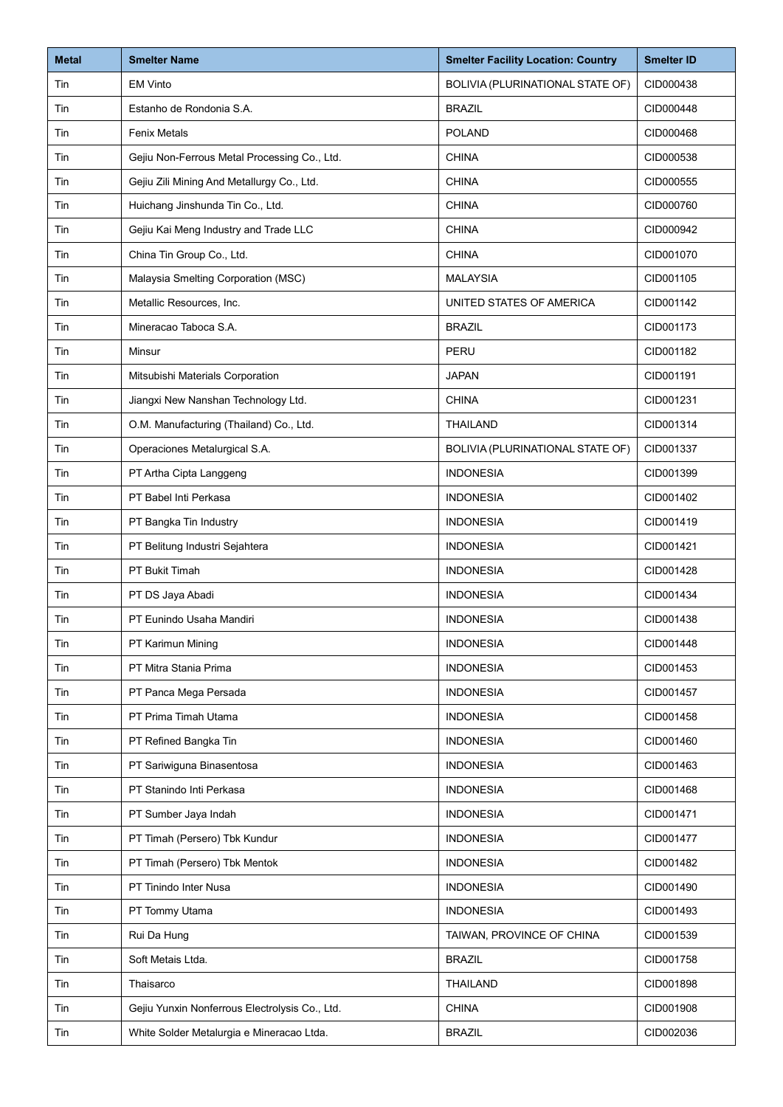| <b>Metal</b> | <b>Smelter Name</b>                            | <b>Smelter Facility Location: Country</b> | <b>Smelter ID</b> |
|--------------|------------------------------------------------|-------------------------------------------|-------------------|
| Tin          | <b>EM Vinto</b>                                | BOLIVIA (PLURINATIONAL STATE OF)          | CID000438         |
| Tin          | Estanho de Rondonia S.A.                       | <b>BRAZIL</b>                             | CID000448         |
| Tin          | <b>Fenix Metals</b>                            | <b>POLAND</b>                             | CID000468         |
| Tin          | Gejiu Non-Ferrous Metal Processing Co., Ltd.   | <b>CHINA</b>                              | CID000538         |
| Tin          | Gejiu Zili Mining And Metallurgy Co., Ltd.     | <b>CHINA</b>                              | CID000555         |
| Tin          | Huichang Jinshunda Tin Co., Ltd.               | <b>CHINA</b>                              | CID000760         |
| Tin          | Gejiu Kai Meng Industry and Trade LLC          | <b>CHINA</b>                              | CID000942         |
| Tin          | China Tin Group Co., Ltd.                      | <b>CHINA</b>                              | CID001070         |
| Tin          | Malaysia Smelting Corporation (MSC)            | <b>MALAYSIA</b>                           | CID001105         |
| Tin          | Metallic Resources, Inc.                       | UNITED STATES OF AMERICA                  | CID001142         |
| Tin          | Mineracao Taboca S.A.                          | <b>BRAZIL</b>                             | CID001173         |
| Tin          | Minsur                                         | PERU                                      | CID001182         |
| Tin          | Mitsubishi Materials Corporation               | <b>JAPAN</b>                              | CID001191         |
| Tin          | Jiangxi New Nanshan Technology Ltd.            | <b>CHINA</b>                              | CID001231         |
| Tin          | O.M. Manufacturing (Thailand) Co., Ltd.        | <b>THAILAND</b>                           | CID001314         |
| Tin          | Operaciones Metalurgical S.A.                  | BOLIVIA (PLURINATIONAL STATE OF)          | CID001337         |
| Tin          | PT Artha Cipta Langgeng                        | <b>INDONESIA</b>                          | CID001399         |
| Tin          | PT Babel Inti Perkasa                          | <b>INDONESIA</b>                          | CID001402         |
| Tin          | PT Bangka Tin Industry                         | <b>INDONESIA</b>                          | CID001419         |
| Tin          | PT Belitung Industri Sejahtera                 | <b>INDONESIA</b>                          | CID001421         |
| Tin          | PT Bukit Timah                                 | <b>INDONESIA</b>                          | CID001428         |
| Tin          | PT DS Jaya Abadi                               | <b>INDONESIA</b>                          | CID001434         |
| Tin          | PT Eunindo Usaha Mandiri                       | <b>INDONESIA</b>                          | CID001438         |
| Tin          | PT Karimun Mining                              | <b>INDONESIA</b>                          | CID001448         |
| Tin          | PT Mitra Stania Prima                          | <b>INDONESIA</b>                          | CID001453         |
| Tin          | PT Panca Mega Persada                          | <b>INDONESIA</b>                          | CID001457         |
| Tin          | PT Prima Timah Utama                           | <b>INDONESIA</b>                          | CID001458         |
| Tin          | PT Refined Bangka Tin                          | <b>INDONESIA</b>                          | CID001460         |
| Tin          | PT Sariwiguna Binasentosa                      | <b>INDONESIA</b>                          | CID001463         |
| Tin          | PT Stanindo Inti Perkasa                       | <b>INDONESIA</b>                          | CID001468         |
| Tin          | PT Sumber Jaya Indah                           | <b>INDONESIA</b>                          | CID001471         |
| Tin          | PT Timah (Persero) Tbk Kundur                  | <b>INDONESIA</b>                          | CID001477         |
| Tin          | PT Timah (Persero) Tbk Mentok                  | <b>INDONESIA</b>                          | CID001482         |
| Tin          | PT Tinindo Inter Nusa                          | <b>INDONESIA</b>                          | CID001490         |
| Tin          | PT Tommy Utama                                 | <b>INDONESIA</b>                          | CID001493         |
| Tin          | Rui Da Hung                                    | TAIWAN, PROVINCE OF CHINA                 | CID001539         |
| Tin          | Soft Metais Ltda.                              | <b>BRAZIL</b>                             | CID001758         |
| Tin          | Thaisarco                                      | <b>THAILAND</b>                           | CID001898         |
| Tin          | Gejiu Yunxin Nonferrous Electrolysis Co., Ltd. | <b>CHINA</b>                              | CID001908         |
| Tin          | White Solder Metalurgia e Mineracao Ltda.      | <b>BRAZIL</b>                             | CID002036         |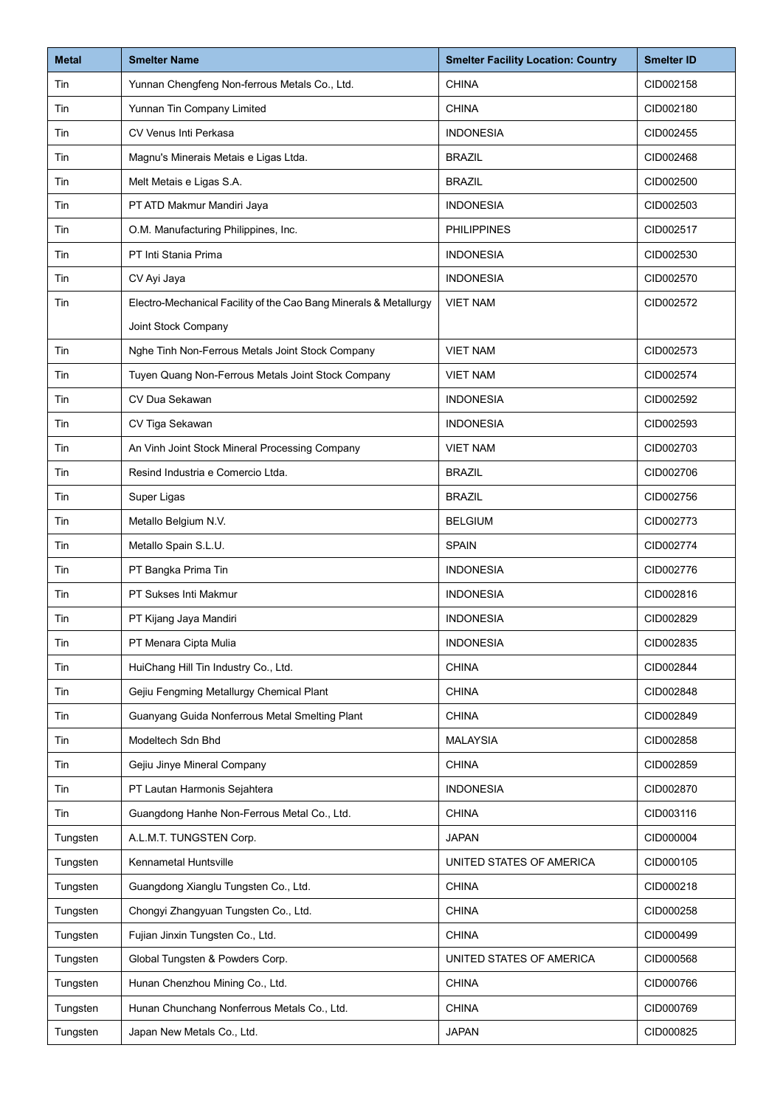| <b>Metal</b> | <b>Smelter Name</b>                                               | <b>Smelter Facility Location: Country</b> | <b>Smelter ID</b> |
|--------------|-------------------------------------------------------------------|-------------------------------------------|-------------------|
| Tin          | Yunnan Chengfeng Non-ferrous Metals Co., Ltd.                     | <b>CHINA</b>                              | CID002158         |
| Tin          | Yunnan Tin Company Limited                                        | <b>CHINA</b>                              | CID002180         |
| Tin          | CV Venus Inti Perkasa                                             | <b>INDONESIA</b>                          | CID002455         |
| Tin          | Magnu's Minerais Metais e Ligas Ltda.                             | <b>BRAZIL</b>                             | CID002468         |
| Tin          | Melt Metais e Ligas S.A.                                          | <b>BRAZIL</b>                             | CID002500         |
| Tin          | PT ATD Makmur Mandiri Jaya                                        | <b>INDONESIA</b>                          | CID002503         |
| Tin          | O.M. Manufacturing Philippines, Inc.                              | <b>PHILIPPINES</b>                        | CID002517         |
| Tin          | PT Inti Stania Prima                                              | <b>INDONESIA</b>                          | CID002530         |
| Tin          | CV Ayi Jaya                                                       | <b>INDONESIA</b>                          | CID002570         |
| Tin          | Electro-Mechanical Facility of the Cao Bang Minerals & Metallurgy | <b>VIET NAM</b>                           | CID002572         |
|              | Joint Stock Company                                               |                                           |                   |
| Tin          | Nghe Tinh Non-Ferrous Metals Joint Stock Company                  | <b>VIET NAM</b>                           | CID002573         |
| Tin          | Tuyen Quang Non-Ferrous Metals Joint Stock Company                | <b>VIET NAM</b>                           | CID002574         |
| Tin          | CV Dua Sekawan                                                    | <b>INDONESIA</b>                          | CID002592         |
| Tin          | CV Tiga Sekawan                                                   | <b>INDONESIA</b>                          | CID002593         |
| Tin          | An Vinh Joint Stock Mineral Processing Company                    | <b>VIET NAM</b>                           | CID002703         |
| Tin          | Resind Industria e Comercio Ltda.                                 | <b>BRAZIL</b>                             | CID002706         |
| Tin          | Super Ligas                                                       | <b>BRAZIL</b>                             | CID002756         |
| Tin          | Metallo Belgium N.V.                                              | <b>BELGIUM</b>                            | CID002773         |
| Tin          | Metallo Spain S.L.U.                                              | <b>SPAIN</b>                              | CID002774         |
| Tin          | PT Bangka Prima Tin                                               | <b>INDONESIA</b>                          | CID002776         |
| Tin          | PT Sukses Inti Makmur                                             | <b>INDONESIA</b>                          | CID002816         |
| Tin          | PT Kijang Jaya Mandiri                                            | <b>INDONESIA</b>                          | CID002829         |
| Tin          | PT Menara Cipta Mulia                                             | <b>INDONESIA</b>                          | CID002835         |
| Tin          | HuiChang Hill Tin Industry Co., Ltd.                              | <b>CHINA</b>                              | CID002844         |
| Tin          | Gejiu Fengming Metallurgy Chemical Plant                          | <b>CHINA</b>                              | CID002848         |
| Tin          | Guanyang Guida Nonferrous Metal Smelting Plant                    | <b>CHINA</b>                              | CID002849         |
| Tin          | Modeltech Sdn Bhd                                                 | <b>MALAYSIA</b>                           | CID002858         |
| Tin          | Gejiu Jinye Mineral Company                                       | <b>CHINA</b>                              | CID002859         |
| Tin          | PT Lautan Harmonis Sejahtera                                      | <b>INDONESIA</b>                          | CID002870         |
| Tin          | Guangdong Hanhe Non-Ferrous Metal Co., Ltd.                       | <b>CHINA</b>                              | CID003116         |
| Tungsten     | A.L.M.T. TUNGSTEN Corp.                                           | <b>JAPAN</b>                              | CID000004         |
| Tungsten     | Kennametal Huntsville                                             | UNITED STATES OF AMERICA                  | CID000105         |
| Tungsten     | Guangdong Xianglu Tungsten Co., Ltd.                              | <b>CHINA</b>                              | CID000218         |
| Tungsten     | Chongyi Zhangyuan Tungsten Co., Ltd.                              | <b>CHINA</b>                              | CID000258         |
| Tungsten     | Fujian Jinxin Tungsten Co., Ltd.                                  | <b>CHINA</b>                              | CID000499         |
| Tungsten     | Global Tungsten & Powders Corp.                                   | UNITED STATES OF AMERICA                  | CID000568         |
| Tungsten     | Hunan Chenzhou Mining Co., Ltd.                                   | <b>CHINA</b>                              | CID000766         |
| Tungsten     | Hunan Chunchang Nonferrous Metals Co., Ltd.                       | <b>CHINA</b>                              | CID000769         |
| Tungsten     | Japan New Metals Co., Ltd.                                        | <b>JAPAN</b>                              | CID000825         |